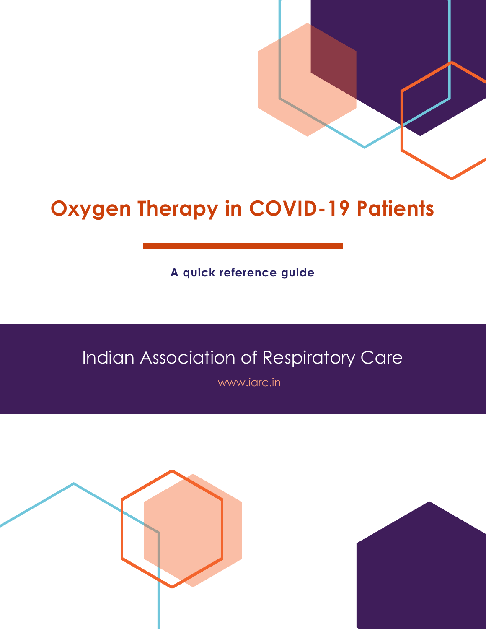**A quick reference guide**

# Indian Association of Respiratory Care

www.iarc.in



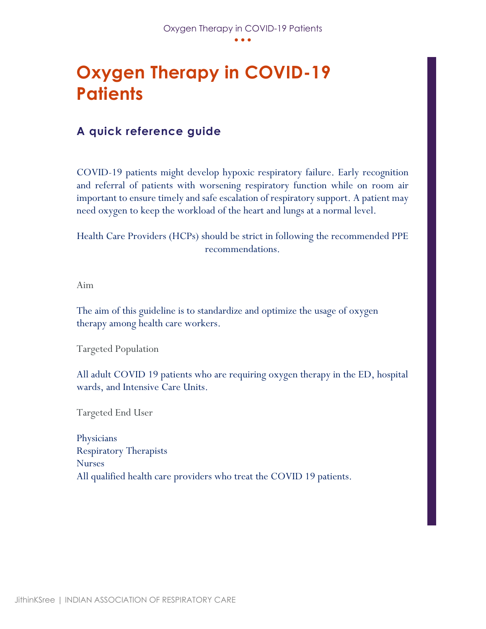## **A quick reference guide**

COVID-19 patients might develop hypoxic respiratory failure. Early recognition and referral of patients with worsening respiratory function while on room air important to ensure timely and safe escalation of respiratory support. A patient may need oxygen to keep the workload of the heart and lungs at a normal level.

Health Care Providers (HCPs) should be strict in following the recommended PPE recommendations.

Aim

The aim of this guideline is to standardize and optimize the usage of oxygen therapy among health care workers.

Targeted Population

All adult COVID 19 patients who are requiring oxygen therapy in the ED, hospital wards, and Intensive Care Units.

Targeted End User

**Physicians** Respiratory Therapists Nurses All qualified health care providers who treat the COVID 19 patients.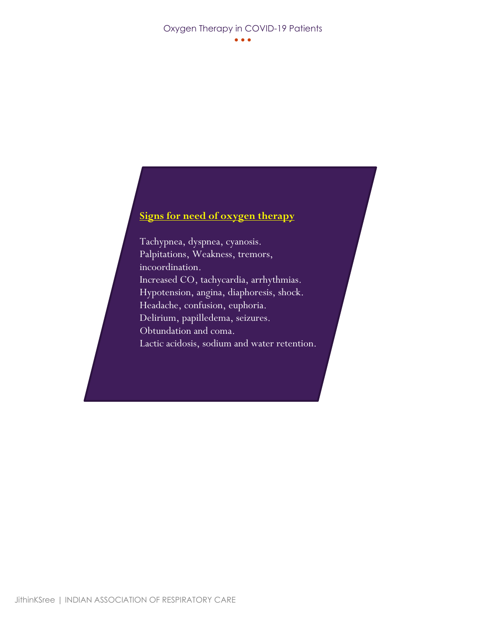### **Signs for need of oxygen therapy**

Tachypnea, dyspnea, cyanosis. Palpitations, Weakness, tremors, incoordination. Increased CO, tachycardia, arrhythmias. Hypotension, angina, diaphoresis, shock. Headache, confusion, euphoria. Delirium, papilledema, seizures. Obtundation and coma. Lactic acidosis, sodium and water retention.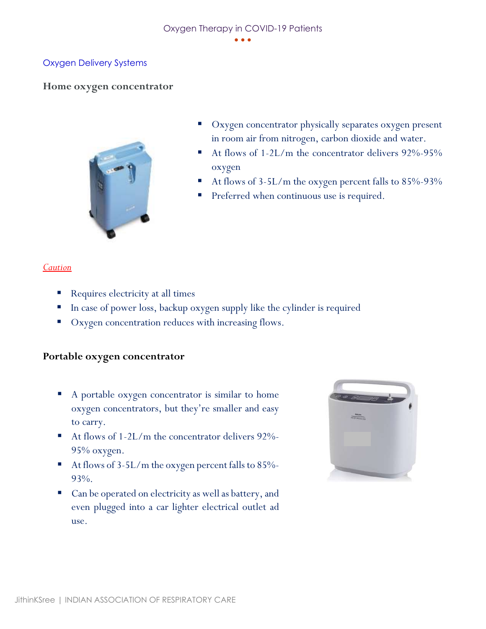#### Oxygen Delivery Systems

#### **Home oxygen concentrator**



- Oxygen concentrator physically separates oxygen present in room air from nitrogen, carbon dioxide and water.
- At flows of  $1-2L/m$  the concentrator delivers  $92\% 95\%$ oxygen
- At flows of 3-5L/m the oxygen percent falls to 85%-93%
- Preferred when continuous use is required.

#### *Caution*

- Requires electricity at all times
- In case of power loss, backup oxygen supply like the cylinder is required
- Oxygen concentration reduces with increasing flows.

#### **Portable oxygen concentrator**

- A portable oxygen concentrator is similar to home oxygen concentrators, but they're smaller and easy to carry.
- At flows of 1-2L/m the concentrator delivers 92%-95% oxygen.
- At flows of 3-5L/m the oxygen percent falls to 85%-93%.
- Can be operated on electricity as well as battery, and even plugged into a car lighter electrical outlet ad use.

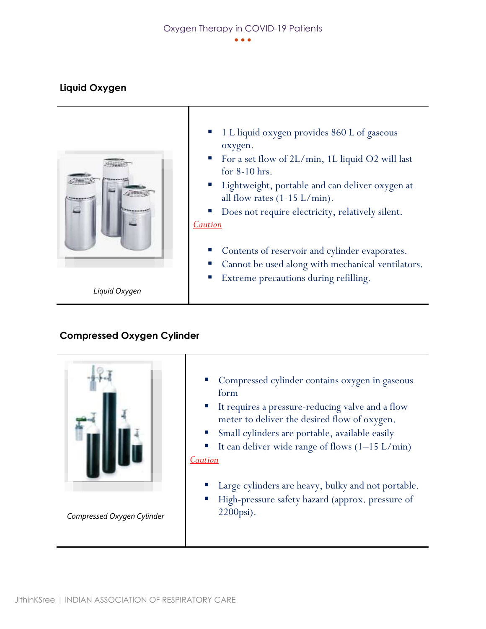### **Liquid Oxygen**



- 1 L liquid oxygen provides 860 L of gaseous oxygen.
- For a set flow of  $2L/min$ , 1L liquid O2 will last for 8-10 hrs.
- Lightweight, portable and can deliver oxygen at all flow rates  $(1-15 \text{ L/min}).$
- Does not require electricity, relatively silent. *Caution*
	- Contents of reservoir and cylinder evaporates.
	- Cannot be used along with mechanical ventilators.
	- Extreme precautions during refilling.

*Liquid Oxygen*

### **Compressed Oxygen Cylinder**



*Compressed Oxygen Cylinder*

- Compressed cylinder contains oxygen in gaseous form
- It requires a pressure-reducing valve and a flow meter to deliver the desired flow of oxygen.
- Small cylinders are portable, available easily
- It can deliver wide range of flows  $(1-15 \text{ L/min})$ *Caution*
	- Large cylinders are heavy, bulky and not portable.
	- High-pressure safety hazard (approx. pressure of 2200psi).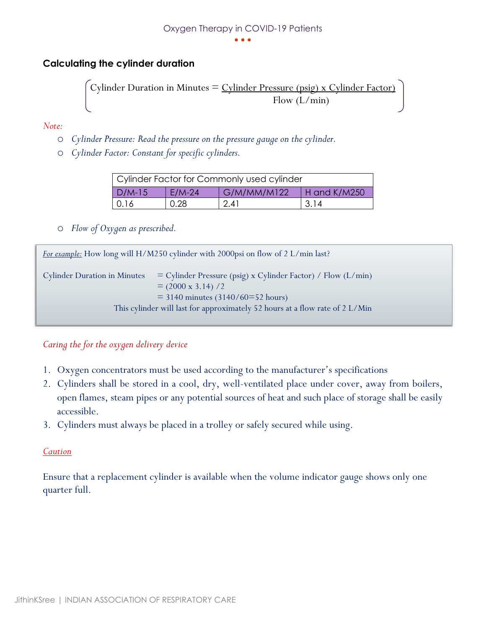#### • • •

### **Calculating the cylinder duration**

Cylinder Duration in Minutes = 
$$
\frac{Cylinder \text{ Pressure (psig)} \times Cylinder \text{Factor}}{\text{Flow (L/min)}}
$$

*Note:* 

- o *Cylinder Pressure: Read the pressure on the pressure gauge on the cylinder.*
- o *Cylinder Factor: Constant for specific cylinders.*

| Cylinder Factor for Commonly used cylinder |          |             |                |  |
|--------------------------------------------|----------|-------------|----------------|--|
| $D/M-15$                                   | $E/M-24$ | G/M/MM/M122 | $H$ and K/M250 |  |
| 0.16                                       | 0.28     | 2.41        | 3.14           |  |

o *Flow of Oxygen as prescribed.* 

| <i>For example:</i> How long will H/M250 cylinder with 2000psi on flow of 2 L/min last? |                                                                                                                                                                                                                     |  |  |
|-----------------------------------------------------------------------------------------|---------------------------------------------------------------------------------------------------------------------------------------------------------------------------------------------------------------------|--|--|
| <b>Cylinder Duration in Minutes</b>                                                     | $=$ Cylinder Pressure (psig) x Cylinder Factor) / Flow (L/min)<br>$= (2000 \times 3.14) / 2$<br>$=$ 3140 minutes (3140/60=52 hours)<br>This cylinder will last for approximately 52 hours at a flow rate of 2 L/Min |  |  |

#### *Caring the for the oxygen delivery device*

- 1. Oxygen concentrators must be used according to the manufacturer's specifications
- 2. Cylinders shall be stored in a cool, dry, well-ventilated place under cover, away from boilers, open flames, steam pipes or any potential sources of heat and such place of storage shall be easily accessible.
- 3. Cylinders must always be placed in a trolley or safely secured while using.

#### *Caution*

Ensure that a replacement cylinder is available when the volume indicator gauge shows only one quarter full.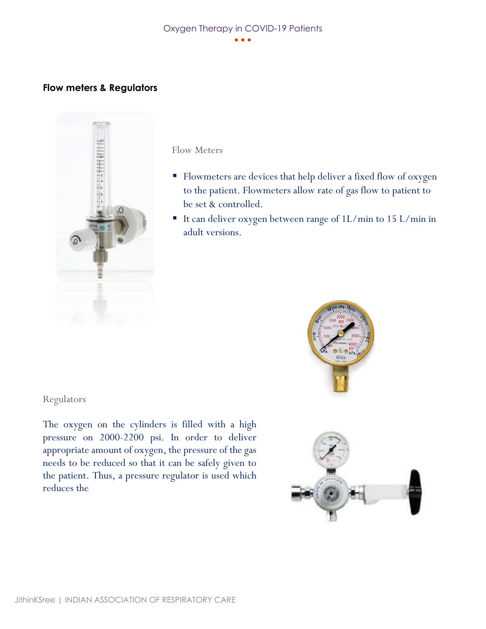#### **Flow meters & Regulators**



Flow Meters

- Flowmeters are devices that help deliver a fixed flow of oxygen to the patient. Flowmeters allow rate of gas flow to patient to be set & controlled.
- It can deliver oxygen between range of 1L/min to 15 L/min in adult versions.

#### Regulators

The oxygen on the cylinders is filled with a high pressure on 2000-2200 psi. In order to deliver appropriate amount of oxygen, the pressure of the gas needs to be reduced so that it can be safely given to the patient. Thus, a pressure regulator is used which reduces the



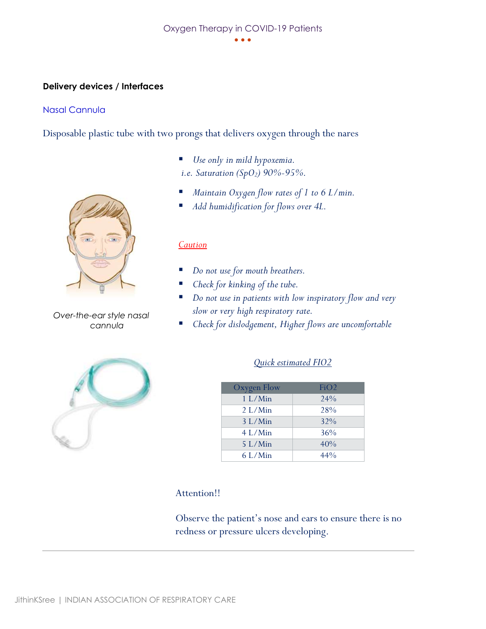#### **Delivery devices / Interfaces**

#### Nasal Cannula

Disposable plastic tube with two prongs that delivers oxygen through the nares



*Over-the-ear style nasal cannula*

- Use only in mild hypoxemia. *i.e. Saturation (SpO2) 90%-95%.*
- *Maintain Oxygen flow rates of 1 to 6 L/min.*
- *Add humidification for flows over 4L.*

#### *Caution*

- Do not use for mouth breathers.
- *Check for kinking of the tube.*
- *Do not use in patients with low inspiratory flow and very slow or very high respiratory rate.*
- Check for dislodgement, Higher flows are uncomfortable



#### *Quick estimated FIO2*

| Oxygen Flow | FiO2   |
|-------------|--------|
| $1 L/M$ in  | 24%    |
| $2 L/M$ in  | 28%    |
| $3 L/M$ in  | 32%    |
| $4$ L/Min   | 36%    |
| $5$ L/Min   | 40%    |
| $6$ L/Min   | $44\%$ |

#### Attention!!

Observe the patient's nose and ears to ensure there is no redness or pressure ulcers developing.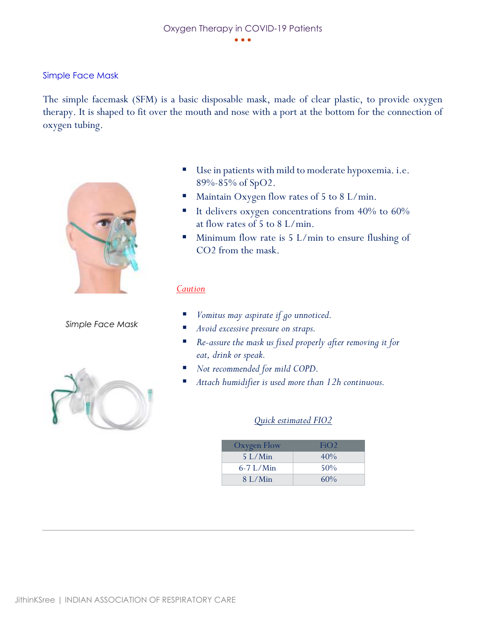Simple Face Mask

The simple facemask (SFM) is a basic disposable mask, made of clear plastic, to provide oxygen therapy. It is shaped to fit over the mouth and nose with a port at the bottom for the connection of oxygen tubing.



*Simple Face Mask*



- Use in patients with mild to moderate hypoxemia. i.e. 89%-85% of SpO2.
- Maintain Oxygen flow rates of 5 to 8 L/min.
- It delivers oxygen concentrations from 40% to 60% at flow rates of 5 to 8 L/min.
- Minimum flow rate is  $5 \text{ L/min}$  to ensure flushing of CO2 from the mask.

#### *Caution*

- *Vomitus may aspirate if go unnoticed.*
- *Avoid excessive pressure on straps.*
- *Re-assure the mask us fixed properly after removing it for eat, drink or speak.*
- Not recommended for mild COPD.
- Attach humidifier is used more than 12h continuous.

#### *Quick estimated FIO2*

| Oxygen Flow | FiO2   |
|-------------|--------|
| $5$ L/Min   | 40%    |
| $6-7$ L/Min | $50\%$ |
| 8 L/Min     | $60\%$ |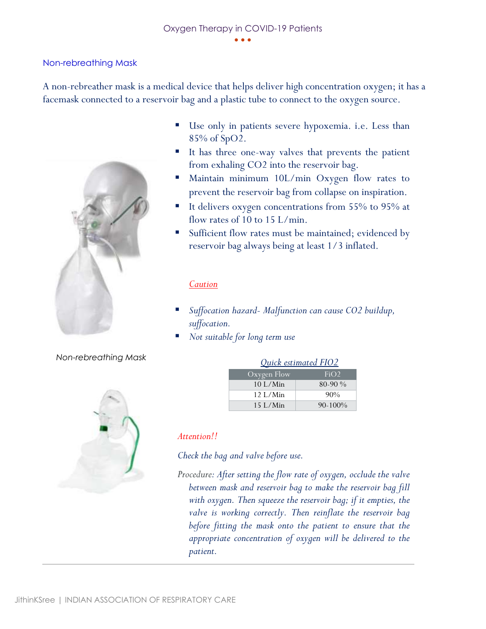• • •

#### Non-rebreathing Mask

A non-rebreather mask is a medical device that helps deliver high concentration oxygen; it has a facemask connected to a reservoir bag and a plastic tube to connect to the oxygen source.



#### *Non-rebreathing Mask*



- Use only in patients severe hypoxemia. i.e. Less than 85% of SpO2.
- It has three one-way valves that prevents the patient from exhaling CO2 into the reservoir bag.
- Maintain minimum 10L/min Oxygen flow rates to prevent the reservoir bag from collapse on inspiration.
- It delivers oxygen concentrations from 55% to 95% at flow rates of 10 to 15 L/min.
- Sufficient flow rates must be maintained; evidenced by reservoir bag always being at least 1/3 inflated.

#### *Caution*

- *Suffocation hazard- Malfunction can cause CO2 buildup, suffocation.*
- *Not suitable for long term use*

| Quick estimated FIUZ |              |  |  |
|----------------------|--------------|--|--|
| Oxygen Flow          | FiO2         |  |  |
| $10$ L/Min           | $80-90\%$    |  |  |
| 12 L/Min             | $90\%$       |  |  |
| $15$ L/Min           | $90 - 100\%$ |  |  |

 $P_{L}$ 

#### *Attention!!*

*Check the bag and valve before use.*

*Procedure: After setting the flow rate of oxygen, occlude the valve between mask and reservoir bag to make the reservoir bag fill with oxygen. Then squeeze the reservoir bag; if it empties, the valve is working correctly. Then reinflate the reservoir bag before fitting the mask onto the patient to ensure that the appropriate concentration of oxygen will be delivered to the patient.*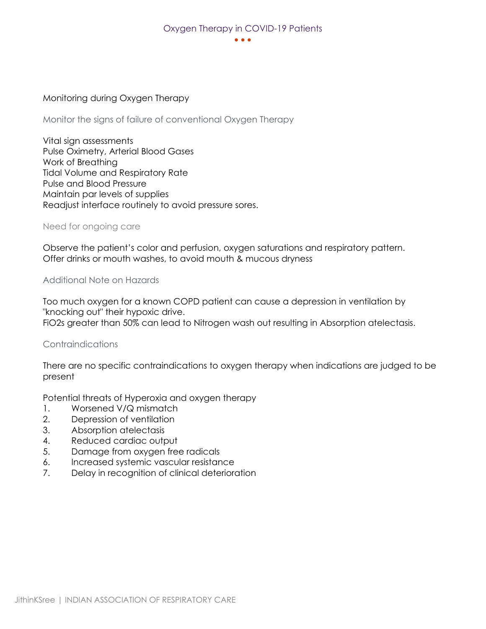#### • • •

#### Monitoring during Oxygen Therapy

Monitor the signs of failure of conventional Oxygen Therapy

Vital sign assessments Pulse Oximetry, Arterial Blood Gases Work of Breathing Tidal Volume and Respiratory Rate Pulse and Blood Pressure Maintain par levels of supplies Readjust interface routinely to avoid pressure sores.

Need for ongoing care

Observe the patient's color and perfusion, oxygen saturations and respiratory pattern. Offer drinks or mouth washes, to avoid mouth & mucous dryness

Additional Note on Hazards

Too much oxygen for a known COPD patient can cause a depression in ventilation by "knocking out" their hypoxic drive. FiO2s greater than 50% can lead to Nitrogen wash out resulting in Absorption atelectasis.

#### Contraindications

There are no specific contraindications to oxygen therapy when indications are judged to be present

Potential threats of Hyperoxia and oxygen therapy

- 1. Worsened V/Q mismatch
- 2. Depression of ventilation
- 3. Absorption atelectasis
- 4. Reduced cardiac output
- 5. Damage from oxygen free radicals
- 6. Increased systemic vascular resistance
- 7. Delay in recognition of clinical deterioration